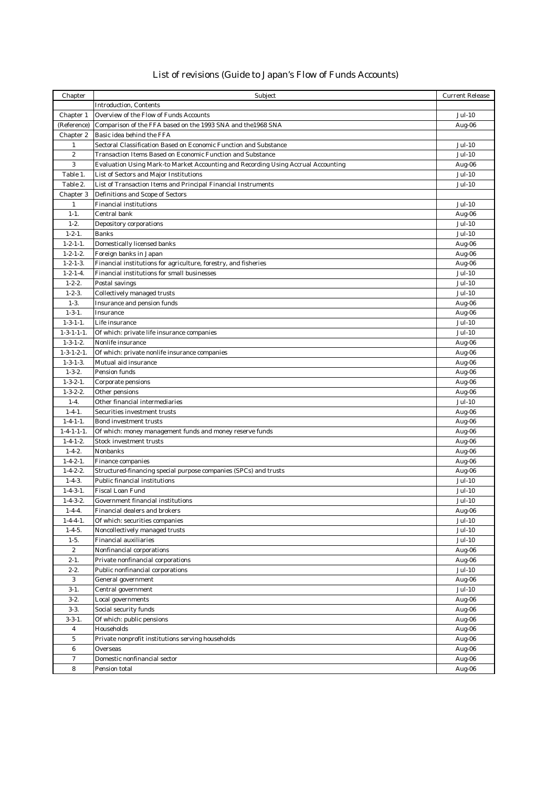## List of revisions (Guide to Japan's Flow of Funds Accounts)

| Chapter                       | Subject                                                                           | <b>Current Release</b>         |
|-------------------------------|-----------------------------------------------------------------------------------|--------------------------------|
|                               | <b>Introduction, Contents</b>                                                     |                                |
| Chapter 1                     | Overview of the Flow of Funds Accounts                                            | Jul-10                         |
| (Reference)                   | Comparison of the FFA based on the 1993 SNA and the 1968 SNA                      | Aug-06                         |
| Chapter 2                     | Basic idea behind the FFA                                                         |                                |
| $\mathbf{1}$                  | Sectoral Classification Based on Economic Function and Substance                  | Jul-10                         |
| $\,2$                         | Transaction Items Based on Economic Function and Substance                        | Jul-10                         |
| $\sqrt{3}$                    | Evaluation Using Mark-to Market Accounting and Recording Using Accrual Accounting | Aug-06                         |
| Table 1.                      | List of Sectors and Major Institutions                                            | <b>Jul-10</b>                  |
| Table 2.                      | List of Transaction Items and Principal Financial Instruments                     | Jul-10                         |
| Chapter 3                     | Definitions and Scope of Sectors                                                  |                                |
| $\mathbf{1}$                  | <b>Financial institutions</b>                                                     | $Jul-10$                       |
| $1 - 1.$<br>$1 - 2.$          | Central bank                                                                      | Aug-06                         |
| $1 - 2 - 1$ .                 | Depository corporations<br>Banks                                                  | <b>Jul-10</b><br><b>Jul-10</b> |
| $1 - 2 - 1 - 1$ .             | Domestically licensed banks                                                       | Aug-06                         |
| $1 - 2 - 1 - 2$ .             | Foreign banks in Japan                                                            | Aug-06                         |
| $1 - 2 - 1 - 3$ .             | Financial institutions for agriculture, forestry, and fisheries                   | Aug-06                         |
| $1 - 2 - 1 - 4$ .             | Financial institutions for small businesses                                       | Jul-10                         |
| $1 - 2 - 2$ .                 | Postal savings                                                                    | Jul-10                         |
| $1 - 2 - 3$ .                 | Collectively managed trusts                                                       | Jul-10                         |
| $1-3.$                        | Insurance and pension funds                                                       | Aug-06                         |
| $1 - 3 - 1$ .                 | Insurance                                                                         | Aug-06                         |
| $1 - 3 - 1 - 1$ .             | Life insurance                                                                    | Jul-10                         |
| $1 - 3 - 1 - 1 - 1$ .         | Of which: private life insurance companies                                        | Jul-10                         |
| $1 - 3 - 1 - 2$ .             | Nonlife insurance                                                                 | Aug-06                         |
| $1 - 3 - 1 - 2 - 1$ .         | Of which: private nonlife insurance companies                                     | Aug-06                         |
| $1 - 3 - 1 - 3$ .             | Mutual aid insurance                                                              | Aug-06                         |
| $1 - 3 - 2$ .                 | Pension funds                                                                     | Aug-06                         |
| $1 - 3 - 2 - 1$ .             | Corporate pensions                                                                | Aug-06                         |
| $1 - 3 - 2 - 2$ .             | Other pensions                                                                    | Aug-06                         |
| $1-4.$                        | Other financial intermediaries                                                    | Jul-10                         |
| $1 - 4 - 1$ .                 | Securities investment trusts                                                      | Aug-06                         |
| $1 - 4 - 1 - 1$ .             | Bond investment trusts                                                            | Aug-06                         |
| $1 - 4 - 1 - 1 - 1$ .         | Of which: money management funds and money reserve funds                          | Aug-06                         |
| $1 - 4 - 1 - 2$ .             | Stock investment trusts                                                           | Aug-06                         |
| $1 - 4 - 2$ .                 | Nonbanks                                                                          | Aug-06                         |
| $1 - 4 - 2 - 1$ .             | Finance companies                                                                 | Aug-06                         |
| $1 - 4 - 2 - 2$ .             | Structured-financing special purpose companies (SPCs) and trusts                  | Aug-06                         |
| $1-4-3.$                      | Public financial institutions                                                     | Jul-10                         |
| $1 - 4 - 3 - 1$ .             | Fiscal Loan Fund                                                                  | <b>Jul-10</b>                  |
| $1 - 4 - 3 - 2$ .             | Government financial institutions                                                 | <b>Jul-10</b>                  |
| $1 - 4 - 4$ .                 | Financial dealers and brokers                                                     | Aug-06                         |
| $1 - 4 - 4 - 1$ .             | Of which: securities companies                                                    | Jul-10                         |
| $1-4-5.$                      | Noncollectively managed trusts                                                    | <b>Jul-10</b>                  |
| $1-5.$                        | Financial auxiliaries                                                             | <b>Jul-10</b>                  |
| $\boldsymbol{2}$<br>$2 - 1$ . | Nonfinancial corporations                                                         | Aug-06                         |
| $2 - 2.$                      | Private nonfinancial corporations<br>Public nonfinancial corporations             | Aug-06<br>Jul-10               |
| 3                             | General government                                                                | Aug-06                         |
| $3-1.$                        | Central government                                                                | Jul-10                         |
| $3 - 2.$                      | Local governments                                                                 | Aug-06                         |
| $3 - 3.$                      | Social security funds                                                             | Aug-06                         |
| $3 - 3 - 1$ .                 | Of which: public pensions                                                         | Aug-06                         |
| $\overline{4}$                | Households                                                                        | Aug-06                         |
| $\,$ 5                        | Private nonprofit institutions serving households                                 | Aug-06                         |
| $\boldsymbol{6}$              | Overseas                                                                          | Aug-06                         |
| $\boldsymbol{7}$              | Domestic nonfinancial sector                                                      | Aug-06                         |
| 8                             | Pension total                                                                     | Aug-06                         |
|                               |                                                                                   |                                |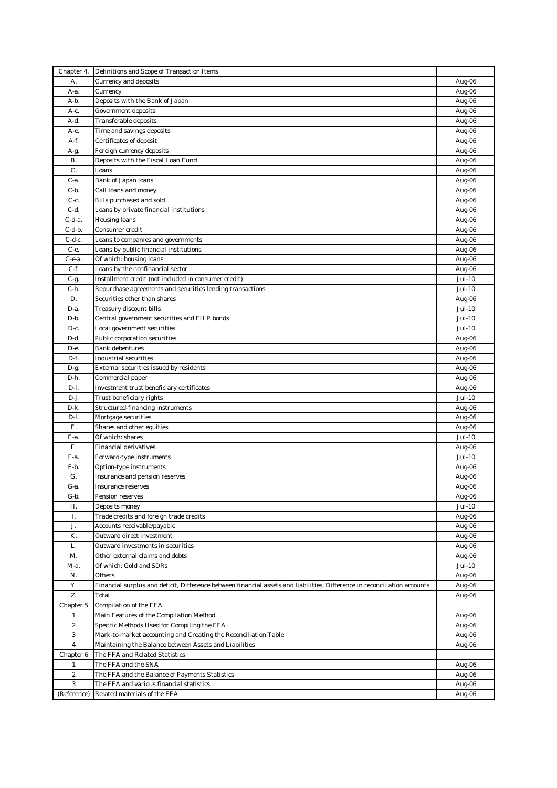| Chapter 4.              | Definitions and Scope of Transaction Items                                                                               |               |
|-------------------------|--------------------------------------------------------------------------------------------------------------------------|---------------|
| A.                      | <b>Currency and deposits</b>                                                                                             | Aug-06        |
| A-a.                    | Currency                                                                                                                 | Aug-06        |
| A-b.                    | Deposits with the Bank of Japan                                                                                          | Aug-06        |
| A-c.                    | Government deposits                                                                                                      | Aug-06        |
| A-d.                    | Transferable deposits                                                                                                    | Aug-06        |
| А-е.                    | Time and savings deposits                                                                                                | Aug-06        |
| A-f.                    | Certificates of deposit                                                                                                  | Aug-06        |
| A-g.                    | Foreign currency deposits                                                                                                | Aug-06        |
| <b>B.</b>               | Deposits with the Fiscal Loan Fund                                                                                       | Aug-06        |
| C.                      | Loans                                                                                                                    | Aug-06        |
| $C-a$ .                 | Bank of Japan loans                                                                                                      | Aug-06        |
| C-b.                    | Call loans and money                                                                                                     | Aug-06        |
| C-c.                    | Bills purchased and sold                                                                                                 | Aug-06        |
| $C-d.$                  | Loans by private financial institutions                                                                                  | Aug-06        |
| C-d-a.                  | Housing loans                                                                                                            | Aug-06        |
| $C-d-b.$                | Consumer credit                                                                                                          | Aug-06        |
| $C-d-c.$                | Loans to companies and governments                                                                                       | Aug-06        |
| С-е.                    | Loans by public financial institutions                                                                                   | Aug-06        |
| С-е-а.                  | Of which: housing loans                                                                                                  | Aug-06        |
| $C-f.$                  | Loans by the nonfinancial sector                                                                                         | Aug-06        |
| $C-g.$                  | Installment credit (not included in consumer credit)                                                                     | Jul-10        |
| C-h.                    | Repurchase agreements and securities lending transactions                                                                | Jul-10        |
| D.                      | Securities other than shares                                                                                             | Aug-06        |
| D-a.                    | Treasury discount bills                                                                                                  | Jul-10        |
| D-b.                    | Central government securities and FILP bonds                                                                             | Jul-10        |
| D-c.                    | Local government securities                                                                                              | Jul-10        |
| D-d.                    | Public corporation securities                                                                                            | Aug-06        |
| D-е.                    | Bank debentures                                                                                                          | Aug-06        |
| D-f.                    | Industrial securities                                                                                                    | Aug-06        |
| D-g.                    | External securities issued by residents                                                                                  | Aug-06        |
| D-h.                    | Commercial paper                                                                                                         | Aug-06        |
| $D-i.$                  | Investment trust beneficiary certificates                                                                                | Aug-06        |
| $D-j.$                  | Trust beneficiary rights                                                                                                 | Jul-10        |
| D-k.                    | Structured-financing instruments                                                                                         | Aug-06        |
| D-l.                    | Mortgage securities                                                                                                      | Aug-06        |
| E.                      | Shares and other equities                                                                                                | Aug-06        |
| E-a.                    | Of which: shares                                                                                                         | Jul-10        |
| F.                      | Financial derivatives                                                                                                    | Aug-06        |
| F-a.                    | Forward-type instruments                                                                                                 | Jul-10        |
| F-b.                    | Option-type instruments                                                                                                  | Aug-06        |
| G.                      | Insurance and pension reserves                                                                                           | Aug-06        |
| G-a.                    | Insurance reserves                                                                                                       | Aug-06        |
| G-b.                    | Pension reserves                                                                                                         | Aug-06        |
| Н.                      | Deposits money                                                                                                           | <b>Jul-10</b> |
| Ι.                      | Trade credits and foreign trade credits                                                                                  | Aug-06        |
| J.                      | Accounts receivable/payable                                                                                              | Aug-06        |
| K.                      | Outward direct investment                                                                                                | Aug-06        |
| L.                      | Outward investments in securities                                                                                        | Aug-06        |
| M.                      | Other external claims and debts                                                                                          | Aug-06        |
| М-а.                    | Of which: Gold and SDRs                                                                                                  | Jul-10        |
| N.                      | Others                                                                                                                   | Aug-06        |
| Y.                      | Financial surplus and deficit, Difference between financial assets and liabilities, Difference in reconciliation amounts | Aug-06        |
| Z.                      | Total                                                                                                                    | Aug-06        |
| Chapter 5               | Compilation of the FFA                                                                                                   |               |
| $\mathbf{1}$            | Main Features of the Compilation Method                                                                                  | Aug-06        |
| $\boldsymbol{2}$        | Specific Methods Used for Compiling the FFA                                                                              | Aug-06        |
| 3                       | Mark-to-market accounting and Creating the Reconciliation Table                                                          | Aug-06        |
| $\overline{\mathbf{4}}$ | Maintaining the Balance between Assets and Liabilities                                                                   | Aug-06        |
| Chapter 6               | The FFA and Related Statistics                                                                                           |               |
| $\mathbf{1}$            | The FFA and the SNA                                                                                                      | Aug-06        |
| $\boldsymbol{2}$        | The FFA and the Balance of Payments Statistics                                                                           | Aug-06        |
| 3                       | The FFA and various financial statistics                                                                                 | Aug-06        |
| (Reference)             | Related materials of the FFA                                                                                             | Aug-06        |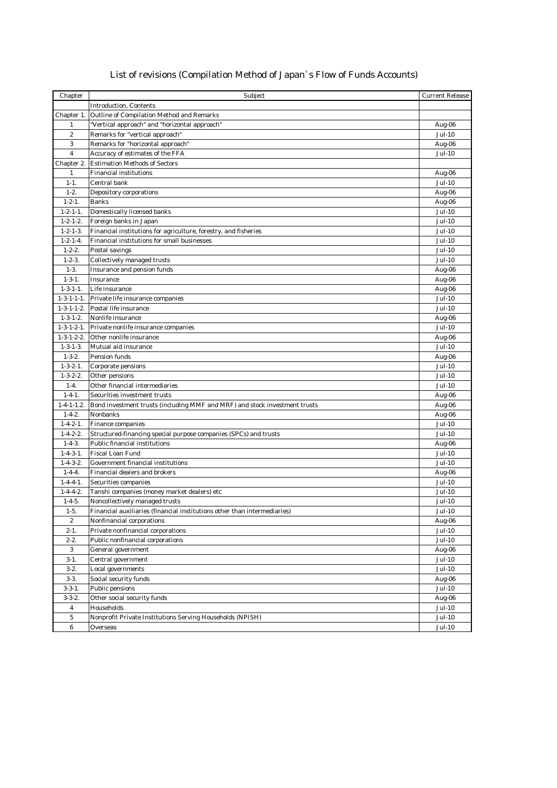## List of revisions (Compilation Method of Japan's Flow of Funds Accounts)

| Chapter                 | Subject                                                                    | <b>Current Release</b> |
|-------------------------|----------------------------------------------------------------------------|------------------------|
|                         | <b>Introduction, Contents</b>                                              |                        |
| Chapter 1.              | Outline of Compilation Method and Remarks                                  |                        |
| $\mathbf{1}$            | "Vertical approach" and "horizontal approach"                              | Aug-06                 |
| $\overline{2}$          | Remarks for "vertical approach"                                            | Jul-10                 |
| 3                       | Remarks for "horizontal approach"                                          | Aug-06                 |
| $\overline{\mathbf{4}}$ | Accuracy of estimates of the FFA                                           | Jul-10                 |
| Chapter 2.              | <b>Estimation Methods of Sectors</b>                                       |                        |
| $\mathbf{1}$            | <b>Financial institutions</b>                                              | Aug-06                 |
| $1 - 1.$                | Central bank                                                               | Jul-10                 |
| $1 - 2.$                | Depository corporations                                                    | Aug-06                 |
| $1 - 2 - 1$ .           | <b>Banks</b>                                                               | Aug-06                 |
| $1 - 2 - 1 - 1$ .       | Domestically licensed banks                                                | Jul-10                 |
| $1 - 2 - 1 - 2$ .       | Foreign banks in Japan                                                     | Jul-10                 |
| $1 - 2 - 1 - 3$ .       | Financial institutions for agriculture, forestry, and fisheries            | Jul-10                 |
| $1 - 2 - 1 - 4$ .       | Financial institutions for small businesses                                | Jul-10                 |
| $1 - 2 - 2$ .           | Postal savings                                                             | Jul-10                 |
| $1 - 2 - 3$ .           | Collectively managed trusts                                                | Jul-10                 |
| $1-3.$                  | Insurance and pension funds                                                | Aug-06                 |
| $1 - 3 - 1$ .           | Insurance                                                                  | Aug-06                 |
| $1 - 3 - 1 - 1$ .       | Life insurance                                                             | Aug-06                 |
| $1 - 3 - 1 - 1 - 1$ .   | Private life insurance companies                                           | Jul-10                 |
| $1 - 3 - 1 - 1 - 2$ .   | Postal life insurance                                                      | Jul-10                 |
| $1 - 3 - 1 - 2$ .       | Nonlife insurance                                                          | Aug-06                 |
| $1 - 3 - 1 - 2 - 1$ .   | Private nonlife insurance companies                                        | Jul-10                 |
| $1 - 3 - 1 - 2 - 2$ .   | Other nonlife insurance                                                    | Aug-06                 |
| $1 - 3 - 1 - 3$ .       | Mutual aid insurance                                                       | Jul-10                 |
| $1 - 3 - 2$ .           | Pension funds                                                              | Aug-06                 |
| $1 - 3 - 2 - 1$ .       | Corporate pensions                                                         | Jul-10                 |
| $1 - 3 - 2 - 2$ .       | Other pensions                                                             | Jul-10                 |
| $1-4.$                  | Other financial intermediaries                                             | Jul-10                 |
| $1 - 4 - 1$ .           | Securities investment trusts                                               | Aug-06                 |
| $1 - 4 - 1 - 1.2$ .     | Bond investment trusts (including MMF and MRF) and stock investment trusts | Aug-06                 |
| $1 - 4 - 2$ .           | Nonbanks                                                                   | Aug-06                 |
| $1 - 4 - 2 - 1$ .       | Finance companies                                                          | Jul-10                 |
| $1 - 4 - 2 - 2$ .       | Structured-financing special purpose companies (SPCs) and trusts           | Jul-10                 |
| $1 - 4 - 3$ .           | Public financial institutions                                              | Aug-06                 |
| $1 - 4 - 3 - 1$ .       | Fiscal Loan Fund                                                           | Jul-10                 |
| $1 - 4 - 3 - 2$ .       | Government financial institutions                                          | Jul-10                 |
| $1 - 4 - 4.$            | Financial dealers and brokers                                              |                        |
| $1 - 4 - 4 - 1$ .       | Securities companies                                                       | Jul-10                 |
| $1 - 4 - 4 - 2$ .       | Tanshi companies (money market dealers) etc                                | Jul-10                 |
| $1 - 4 - 5$ .           | Noncollectively managed trusts                                             | Jul-10                 |
| $1-5.$                  | Financial auxiliaries (financial institutions other than intermediaries)   | Jul-10                 |
| $\boldsymbol{2}$        | Nonfinancial corporations                                                  |                        |
| $2 - 1.$                | Private nonfinancial corporations                                          | Jul-10                 |
| $2 - 2.$                | Public nonfinancial corporations                                           | Jul-10                 |
| 3                       | General government                                                         | Aug-06                 |
| $3-1.$                  |                                                                            | Jul-10                 |
| $3-2.$                  | Local governments                                                          | Jul-10                 |
| $3-3.$                  | Social security funds                                                      | Aug-06                 |
| $3 - 3 - 1$ .           | Public pensions                                                            | Jul-10                 |
| $3 - 3 - 2$ .           | Other social security funds                                                | Aug-06                 |
| $\overline{\mathbf{4}}$ | Households                                                                 | Jul-10                 |
| $\bf 5$                 | Nonprofit Private Institutions Serving Households (NPISH)                  | Jul-10                 |
| $\bf 6$                 | Overseas                                                                   | <b>Jul-10</b>          |
|                         | Central government                                                         | Aug-06<br>Aug-06       |